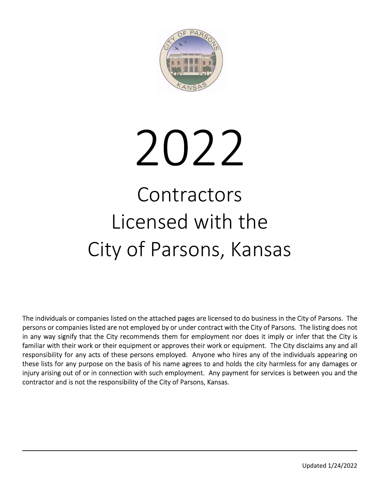

# 2022 **Contractors** Licensed with the

City of Parsons, Kansas

The individuals or companies listed on the attached pages are licensed to do business in the City of Parsons. The persons or companies listed are not employed by or under contract with the City of Parsons. The listing does not in any way signify that the City recommends them for employment nor does it imply or infer that the City is familiar with their work or their equipment or approves their work or equipment. The City disclaims any and all responsibility for any acts of these persons employed. Anyone who hires any of the individuals appearing on these lists for any purpose on the basis of his name agrees to and holds the city harmless for any damages or injury arising out of or in connection with such employment. Any payment for services is between you and the contractor and is not the responsibility of the City of Parsons, Kansas.

l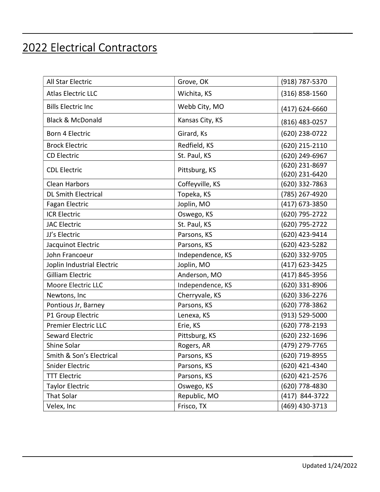## 2022 Electrical Contractors

| All Star Electric           | Grove, OK        | (918) 787-5370                   |
|-----------------------------|------------------|----------------------------------|
| <b>Atlas Electric LLC</b>   | Wichita, KS      | (316) 858-1560                   |
| <b>Bills Electric Inc</b>   | Webb City, MO    | $(417)$ 624-6660                 |
| <b>Black &amp; McDonald</b> | Kansas City, KS  | (816) 483-0257                   |
| Born 4 Electric             | Girard, Ks       | (620) 238-0722                   |
| <b>Brock Electric</b>       | Redfield, KS     | (620) 215-2110                   |
| <b>CD Electric</b>          | St. Paul, KS     | (620) 249-6967                   |
| <b>CDL Electric</b>         | Pittsburg, KS    | (620) 231-8697<br>(620) 231-6420 |
| Clean Harbors               | Coffeyville, KS  | (620) 332-7863                   |
| <b>DL Smith Electrical</b>  | Topeka, KS       | (785) 267-4920                   |
| <b>Fagan Electric</b>       | Joplin, MO       | (417) 673-3850                   |
| <b>ICR Electric</b>         | Oswego, KS       | (620) 795-2722                   |
| <b>JAC Electric</b>         | St. Paul, KS     | (620) 795-2722                   |
| JJ's Electric               | Parsons, KS      | (620) 423-9414                   |
| Jacquinot Electric          | Parsons, KS      | (620) 423-5282                   |
| John Francoeur              | Independence, KS | (620) 332-9705                   |
| Joplin Industrial Electric  | Joplin, MO       | (417) 623-3425                   |
| <b>Gilliam Electric</b>     | Anderson, MO     | (417) 845-3956                   |
| Moore Electric LLC          | Independence, KS | (620) 331-8906                   |
| Newtons, Inc                | Cherryvale, KS   | (620) 336-2276                   |
| Pontious Jr, Barney         | Parsons, KS      | (620) 778-3862                   |
| P1 Group Electric           | Lenexa, KS       | (913) 529-5000                   |
| <b>Premier Electric LLC</b> | Erie, KS         | (620) 778-2193                   |
| <b>Seward Electric</b>      | Pittsburg, KS    | (620) 232-1696                   |
| Shine Solar                 | Rogers, AR       | (479) 279-7765                   |
| Smith & Son's Electrical    | Parsons, KS      | (620) 719-8955                   |
| Snider Electric             | Parsons, KS      | (620) 421-4340                   |
| <b>TTT Electric</b>         | Parsons, KS      | (620) 421-2576                   |
| <b>Taylor Electric</b>      | Oswego, KS       | (620) 778-4830                   |
| That Solar                  | Republic, MO     | (417) 844-3722                   |
| Velex, Inc                  | Frisco, TX       | (469) 430-3713                   |

 $\overline{\phantom{a}}$  , and the contract of the contract of the contract of the contract of the contract of the contract of the contract of the contract of the contract of the contract of the contract of the contract of the contrac

 $\mathcal{L}_\text{max}$  , and the contract of the contract of the contract of the contract of the contract of the contract of the contract of the contract of the contract of the contract of the contract of the contract of the contr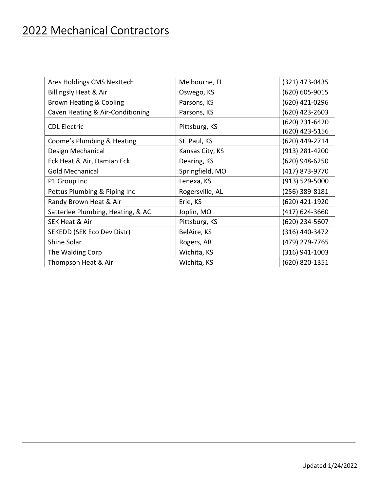## 2022 Mechanical Contractors

| Ares Holdings CMS Nexttech        | Melbourne, FL   | (321) 473-0435                   |
|-----------------------------------|-----------------|----------------------------------|
| Billingsly Heat & Air             | Oswego, KS      | (620) 605-9015                   |
| Brown Heating & Cooling           | Parsons, KS     | (620) 421-0296                   |
| Caven Heating & Air-Conditioning  | Parsons, KS     | (620) 423-2603                   |
| <b>CDL Electric</b>               | Pittsburg, KS   | (620) 231-6420<br>(620) 423-5156 |
| Coome's Plumbing & Heating        | St. Paul, KS    | (620) 449-2714                   |
| Design Mechanical                 | Kansas City, KS | (913) 281-4200                   |
| Eck Heat & Air, Damian Eck        | Dearing, KS     | (620) 948-6250                   |
| <b>Gold Mechanical</b>            | Springfield, MO | (417) 873-9770                   |
| P1 Group Inc                      | Lenexa, KS      | (913) 529-5000                   |
| Pettus Plumbing & Piping Inc      | Rogersville, AL | (256) 389-8181                   |
| Randy Brown Heat & Air            | Erie, KS        | (620) 421-1920                   |
| Satterlee Plumbing, Heating, & AC | Joplin, MO      | (417) 624-3660                   |
| <b>SEK Heat &amp; Air</b>         | Pittsburg, KS   | (620) 234-5607                   |
| SEKEDD (SEK Eco Dev Distr)        | BelAire, KS     | (316) 440-3472                   |
| Shine Solar                       | Rogers, AR      | (479) 279-7765                   |
| The Walding Corp                  | Wichita, KS     | (316) 941-1003                   |
| Thompson Heat & Air               | Wichita, KS     | (620) 820-1351                   |

 $\mathcal{L}_\mathcal{L}$  , and the contract of the contract of the contract of the contract of the contract of the contract of the contract of the contract of the contract of the contract of the contract of the contract of the cont